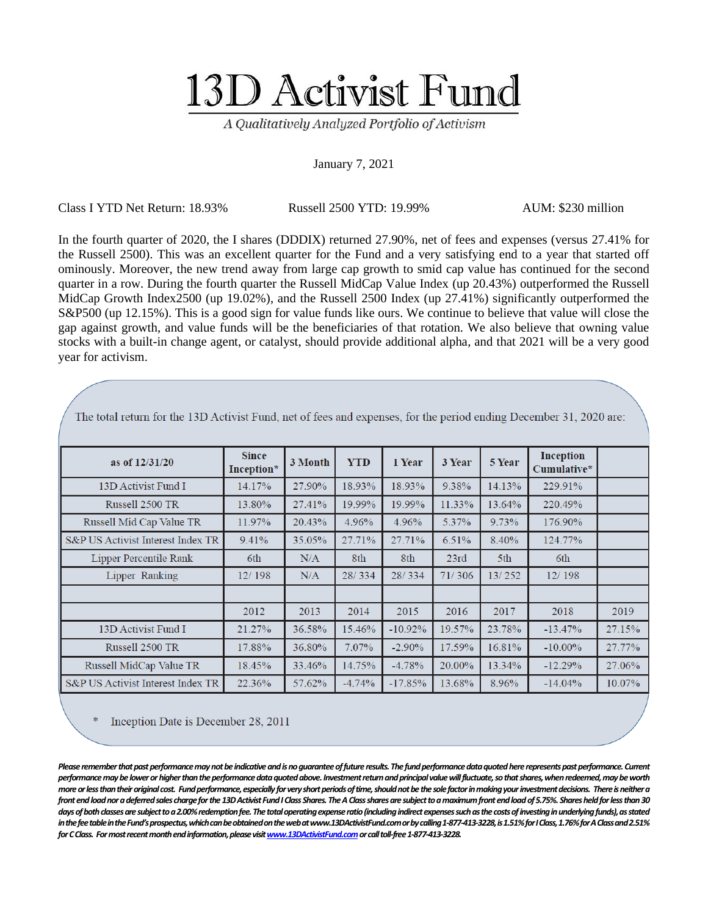## 13D Activist Fund

A Qualitatively Analyzed Portfolio of Activism

## January 7, 2021

Class I YTD Net Return: 18.93% Russell 2500 YTD: 19.99% AUM: \$230 million

In the fourth quarter of 2020, the I shares (DDDIX) returned 27.90%, net of fees and expenses (versus 27.41% for the Russell 2500). This was an excellent quarter for the Fund and a very satisfying end to a year that started off ominously. Moreover, the new trend away from large cap growth to smid cap value has continued for the second quarter in a row. During the fourth quarter the Russell MidCap Value Index (up 20.43%) outperformed the Russell MidCap Growth Index2500 (up 19.02%), and the Russell 2500 Index (up 27.41%) significantly outperformed the S&P500 (up 12.15%). This is a good sign for value funds like ours. We continue to believe that value will close the gap against growth, and value funds will be the beneficiaries of that rotation. We also believe that owning value stocks with a built-in change agent, or catalyst, should provide additional alpha, and that 2021 will be a very good year for activism.

| as of $12/31/20$                  | <b>Since</b><br>Inception* | 3 Month | <b>YTD</b> | 1 Year    | 3 Year | <b>5 Year</b> | <b>Inception</b><br>Cumulative* |        |
|-----------------------------------|----------------------------|---------|------------|-----------|--------|---------------|---------------------------------|--------|
| 13D Activist Fund I               | 14.17%                     | 27.90%  | 18.93%     | 18.93%    | 9.38%  | 14.13%        | 229.91%                         |        |
| Russell 2500 TR                   | 13.80%                     | 27.41%  | 19.99%     | 19.99%    | 11.33% | 13.64%        | 220.49%                         |        |
| Russell Mid Cap Value TR          | 11.97%                     | 20.43%  | 4.96%      | 4.96%     | 5.37%  | 9.73%         | 176.90%                         |        |
| S&P US Activist Interest Index TR | 9.41%                      | 35.05%  | 27.71%     | 27.71%    | 6.51%  | 8.40%         | 124.77%                         |        |
| Lipper Percentile Rank            | 6th                        | N/A     | 8th        | 8th       | 23rd   | 5th           | 6th                             |        |
| Lipper Ranking                    | 12/198                     | N/A     | 28/334     | 28/334    | 71/306 | 13/252        | 12/198                          |        |
|                                   |                            |         |            |           |        |               |                                 |        |
|                                   | 2012                       | 2013    | 2014       | 2015      | 2016   | 2017          | 2018                            | 2019   |
| 13D Activist Fund I               | 21.27%                     | 36.58%  | 15.46%     | $-10.92%$ | 19.57% | 23.78%        | $-13.47\%$                      | 27.15% |
| Russell 2500 TR                   | 17.88%                     | 36.80%  | 7.07%      | $-2.90\%$ | 17.59% | 16.81%        | $-10.00\%$                      | 27.77% |
| Russell MidCap Value TR           | 18.45%                     | 33.46%  | 14.75%     | $-4.78%$  | 20.00% | 13.34%        | $-12.29%$                       | 27.06% |
| S&P US Activist Interest Index TR | 22.36%                     | 57.62%  | $-4.74%$   | $-17.85%$ | 13.68% | 8.96%         | $-14.04\%$                      | 10.07% |

The total return for the 13D Activist Fund, net of fees and expenses, for the period ending December 31, 2020 are:

Inception Date is December 28, 2011

Please remember that past performance may not be indicative and is no guarantee of future results. The fund performance data quoted here represents past performance. Current *performance may be lower or higher than the performance data quoted above. Investment return and principal value will fluctuate, so that shares, when redeemed, may be worth more or less than their original cost. Fund performance, especially for very short periods of time, should not be the sole factor in making your investment decisions. There is neither a front end load nor a deferred sales charge for the 13D Activist Fund I Class Shares. The A Class shares are subject to a maximum front end load of 5.75%. Shares held for less than 30 days of both classes are subject to a 2.00% redemption fee. The total operating expense ratio (including indirect expenses such as the costs of investing in underlying funds), as stated in the fee table in the Fund's prospectus, which can be obtained on the web at www.13DActivistFund.comor by calling 1-877-413-3228, is 1.51% for I Class, 1.76% for A Class and 2.51% for C Class. For most recent month end information, please visi[t www.13DActivistFund.como](http://www.13dactivistfund.com/)rcall toll-free 1-877-413-3228.*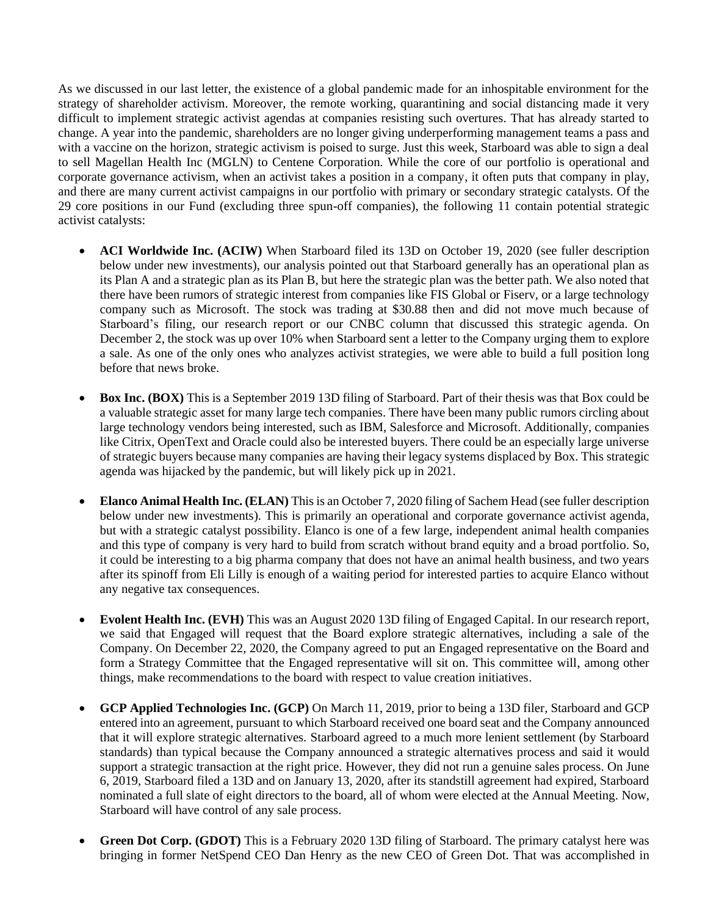As we discussed in our last letter, the existence of a global pandemic made for an inhospitable environment for the strategy of shareholder activism. Moreover, the remote working, quarantining and social distancing made it very difficult to implement strategic activist agendas at companies resisting such overtures. That has already started to change. A year into the pandemic, shareholders are no longer giving underperforming management teams a pass and with a vaccine on the horizon, strategic activism is poised to surge. Just this week, Starboard was able to sign a deal to sell Magellan Health Inc (MGLN) to Centene Corporation. While the core of our portfolio is operational and corporate governance activism, when an activist takes a position in a company, it often puts that company in play, and there are many current activist campaigns in our portfolio with primary or secondary strategic catalysts. Of the 29 core positions in our Fund (excluding three spun-off companies), the following 11 contain potential strategic activist catalysts:

- **ACI Worldwide Inc. (ACIW)** When Starboard filed its 13D on October 19, 2020 (see fuller description below under new investments), our analysis pointed out that Starboard generally has an operational plan as its Plan A and a strategic plan as its Plan B, but here the strategic plan was the better path. We also noted that there have been rumors of strategic interest from companies like FIS Global or Fiserv, or a large technology company such as Microsoft. The stock was trading at \$30.88 then and did not move much because of Starboard's filing, our research report or our CNBC column that discussed this strategic agenda. On December 2, the stock was up over 10% when Starboard sent a letter to the Company urging them to explore a sale. As one of the only ones who analyzes activist strategies, we were able to build a full position long before that news broke.
- **Box Inc. (BOX)** This is a September 2019 13D filing of Starboard. Part of their thesis was that Box could be a valuable strategic asset for many large tech companies. There have been many public rumors circling about large technology vendors being interested, such as IBM, Salesforce and Microsoft. Additionally, companies like Citrix, OpenText and Oracle could also be interested buyers. There could be an especially large universe of strategic buyers because many companies are having their legacy systems displaced by Box. This strategic agenda was hijacked by the pandemic, but will likely pick up in 2021.
- **Elanco Animal Health Inc. (ELAN)** This is an October 7, 2020 filing of Sachem Head (see fuller description below under new investments). This is primarily an operational and corporate governance activist agenda, but with a strategic catalyst possibility. Elanco is one of a few large, independent animal health companies and this type of company is very hard to build from scratch without brand equity and a broad portfolio. So, it could be interesting to a big pharma company that does not have an animal health business, and two years after its spinoff from Eli Lilly is enough of a waiting period for interested parties to acquire Elanco without any negative tax consequences.
- **Evolent Health Inc. (EVH)** This was an August 2020 13D filing of Engaged Capital. In our research report, we said that Engaged will request that the Board explore strategic alternatives, including a sale of the Company. On December 22, 2020, the Company agreed to put an Engaged representative on the Board and form a Strategy Committee that the Engaged representative will sit on. This committee will, among other things, make recommendations to the board with respect to value creation initiatives.
- **GCP Applied Technologies Inc. (GCP)** On March 11, 2019, prior to being a 13D filer, Starboard and GCP entered into an agreement, pursuant to which Starboard received one board seat and the Company announced that it will explore strategic alternatives. Starboard agreed to a much more lenient settlement (by Starboard standards) than typical because the Company announced a strategic alternatives process and said it would support a strategic transaction at the right price. However, they did not run a genuine sales process. On June 6, 2019, Starboard filed a 13D and on January 13, 2020, after its standstill agreement had expired, Starboard nominated a full slate of eight directors to the board, all of whom were elected at the Annual Meeting. Now, Starboard will have control of any sale process.
- **Green Dot Corp. (GDOT)** This is a February 2020 13D filing of Starboard. The primary catalyst here was bringing in former NetSpend CEO Dan Henry as the new CEO of Green Dot. That was accomplished in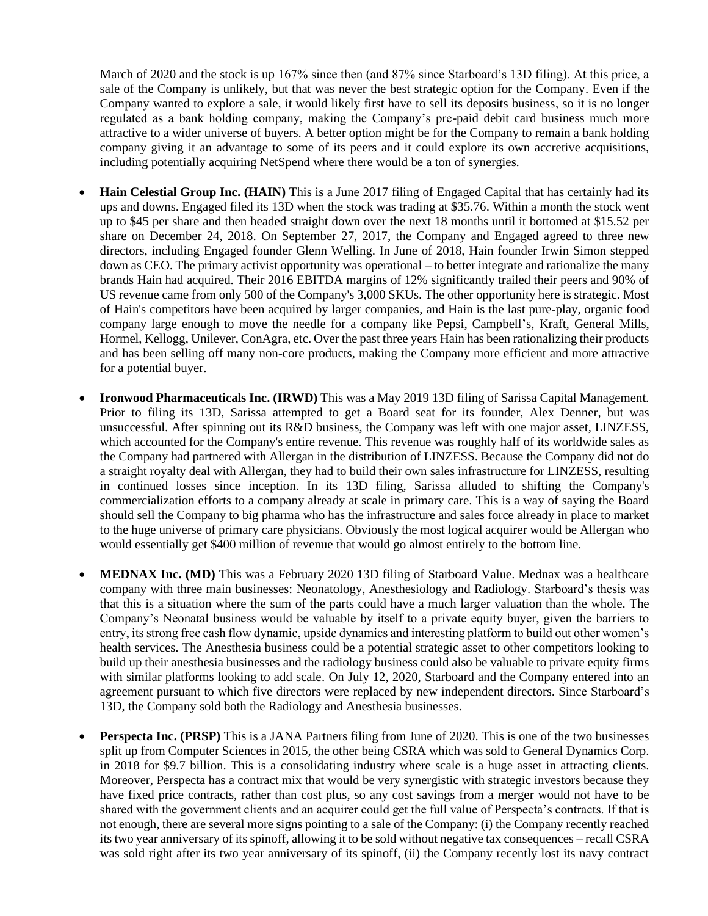March of 2020 and the stock is up 167% since then (and 87% since Starboard's 13D filing). At this price, a sale of the Company is unlikely, but that was never the best strategic option for the Company. Even if the Company wanted to explore a sale, it would likely first have to sell its deposits business, so it is no longer regulated as a bank holding company, making the Company's pre-paid debit card business much more attractive to a wider universe of buyers. A better option might be for the Company to remain a bank holding company giving it an advantage to some of its peers and it could explore its own accretive acquisitions, including potentially acquiring NetSpend where there would be a ton of synergies.

- **Hain Celestial Group Inc. (HAIN)** This is a June 2017 filing of Engaged Capital that has certainly had its ups and downs. Engaged filed its 13D when the stock was trading at \$35.76. Within a month the stock went up to \$45 per share and then headed straight down over the next 18 months until it bottomed at \$15.52 per share on December 24, 2018. On September 27, 2017, the Company and Engaged agreed to three new directors, including Engaged founder Glenn Welling. In June of 2018, Hain founder Irwin Simon stepped down as CEO. The primary activist opportunity was operational – to better integrate and rationalize the many brands Hain had acquired. Their 2016 EBITDA margins of 12% significantly trailed their peers and 90% of US revenue came from only 500 of the Company's 3,000 SKUs. The other opportunity here is strategic. Most of Hain's competitors have been acquired by larger companies, and Hain is the last pure-play, organic food company large enough to move the needle for a company like Pepsi, Campbell's, Kraft, General Mills, Hormel, Kellogg, Unilever, ConAgra, etc. Over the past three years Hain has been rationalizing their products and has been selling off many non-core products, making the Company more efficient and more attractive for a potential buyer.
- **Ironwood Pharmaceuticals Inc. (IRWD)** This was a May 2019 13D filing of Sarissa Capital Management. Prior to filing its 13D, Sarissa attempted to get a Board seat for its founder, Alex Denner, but was unsuccessful. After spinning out its R&D business, the Company was left with one major asset, LINZESS, which accounted for the Company's entire revenue. This revenue was roughly half of its worldwide sales as the Company had partnered with Allergan in the distribution of LINZESS. Because the Company did not do a straight royalty deal with Allergan, they had to build their own sales infrastructure for LINZESS, resulting in continued losses since inception. In its 13D filing, Sarissa alluded to shifting the Company's commercialization efforts to a company already at scale in primary care. This is a way of saying the Board should sell the Company to big pharma who has the infrastructure and sales force already in place to market to the huge universe of primary care physicians. Obviously the most logical acquirer would be Allergan who would essentially get \$400 million of revenue that would go almost entirely to the bottom line.
- **MEDNAX Inc.** (MD) This was a February 2020 13D filing of Starboard Value. Mednax was a healthcare company with three main businesses: Neonatology, Anesthesiology and Radiology. Starboard's thesis was that this is a situation where the sum of the parts could have a much larger valuation than the whole. The Company's Neonatal business would be valuable by itself to a private equity buyer, given the barriers to entry, its strong free cash flow dynamic, upside dynamics and interesting platform to build out other women's health services. The Anesthesia business could be a potential strategic asset to other competitors looking to build up their anesthesia businesses and the radiology business could also be valuable to private equity firms with similar platforms looking to add scale. On July 12, 2020, Starboard and the Company entered into an agreement pursuant to which five directors were replaced by new independent directors. Since Starboard's 13D, the Company sold both the Radiology and Anesthesia businesses.
- **Perspecta Inc. (PRSP)** This is a JANA Partners filing from June of 2020. This is one of the two businesses split up from Computer Sciences in 2015, the other being CSRA which was sold to General Dynamics Corp. in 2018 for \$9.7 billion. This is a consolidating industry where scale is a huge asset in attracting clients. Moreover, Perspecta has a contract mix that would be very synergistic with strategic investors because they have fixed price contracts, rather than cost plus, so any cost savings from a merger would not have to be shared with the government clients and an acquirer could get the full value of Perspecta's contracts. If that is not enough, there are several more signs pointing to a sale of the Company: (i) the Company recently reached its two year anniversary of its spinoff, allowing it to be sold without negative tax consequences – recall CSRA was sold right after its two year anniversary of its spinoff, (ii) the Company recently lost its navy contract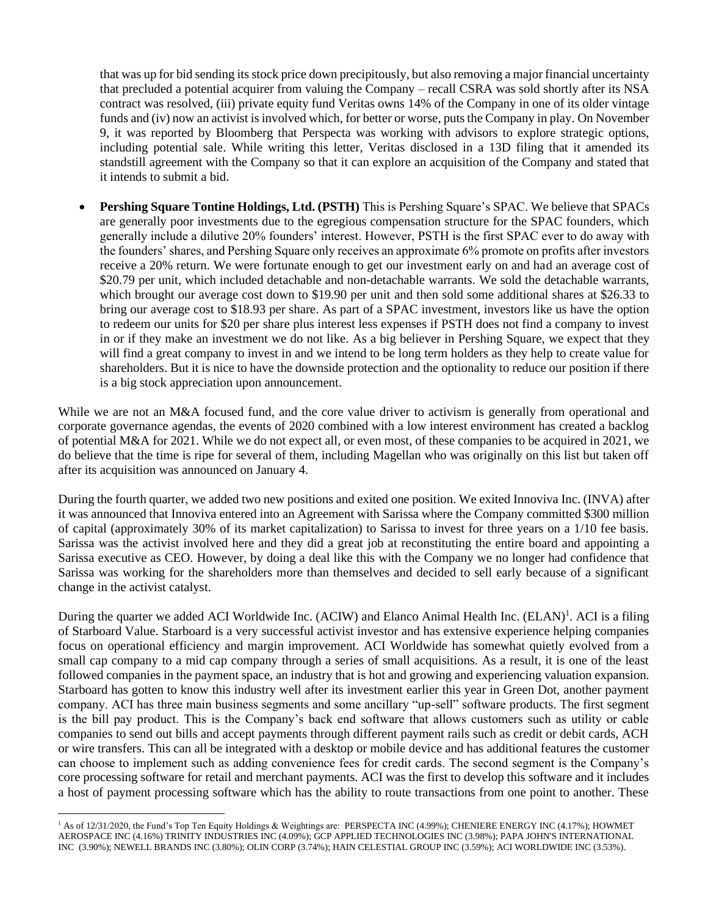that was up for bid sending its stock price down precipitously, but also removing a major financial uncertainty that precluded a potential acquirer from valuing the Company – recall CSRA was sold shortly after its NSA contract was resolved, (iii) private equity fund Veritas owns 14% of the Company in one of its older vintage funds and (iv) now an activist is involved which, for better or worse, puts the Company in play. On November 9, it was reported by Bloomberg that Perspecta was working with advisors to explore strategic options, including potential sale. While writing this letter, Veritas disclosed in a 13D filing that it amended its standstill agreement with the Company so that it can explore an acquisition of the Company and stated that it intends to submit a bid.

• **Pershing Square Tontine Holdings, Ltd. (PSTH)** This is Pershing Square's SPAC. We believe that SPACs are generally poor investments due to the egregious compensation structure for the SPAC founders, which generally include a dilutive 20% founders' interest. However, PSTH is the first SPAC ever to do away with the founders' shares, and Pershing Square only receives an approximate 6% promote on profits after investors receive a 20% return. We were fortunate enough to get our investment early on and had an average cost of \$20.79 per unit, which included detachable and non-detachable warrants. We sold the detachable warrants, which brought our average cost down to \$19.90 per unit and then sold some additional shares at \$26.33 to bring our average cost to \$18.93 per share. As part of a SPAC investment, investors like us have the option to redeem our units for \$20 per share plus interest less expenses if PSTH does not find a company to invest in or if they make an investment we do not like. As a big believer in Pershing Square, we expect that they will find a great company to invest in and we intend to be long term holders as they help to create value for shareholders. But it is nice to have the downside protection and the optionality to reduce our position if there is a big stock appreciation upon announcement.

While we are not an M&A focused fund, and the core value driver to activism is generally from operational and corporate governance agendas, the events of 2020 combined with a low interest environment has created a backlog of potential M&A for 2021. While we do not expect all, or even most, of these companies to be acquired in 2021, we do believe that the time is ripe for several of them, including Magellan who was originally on this list but taken off after its acquisition was announced on January 4.

During the fourth quarter, we added two new positions and exited one position. We exited Innoviva Inc. (INVA) after it was announced that Innoviva entered into an Agreement with Sarissa where the Company committed \$300 million of capital (approximately 30% of its market capitalization) to Sarissa to invest for three years on a 1/10 fee basis. Sarissa was the activist involved here and they did a great job at reconstituting the entire board and appointing a Sarissa executive as CEO. However, by doing a deal like this with the Company we no longer had confidence that Sarissa was working for the shareholders more than themselves and decided to sell early because of a significant change in the activist catalyst.

During the quarter we added ACI Worldwide Inc. (ACIW) and Elanco Animal Health Inc. (ELAN)<sup>1</sup>. ACI is a filing of Starboard Value. Starboard is a very successful activist investor and has extensive experience helping companies focus on operational efficiency and margin improvement. ACI Worldwide has somewhat quietly evolved from a small cap company to a mid cap company through a series of small acquisitions. As a result, it is one of the least followed companies in the payment space, an industry that is hot and growing and experiencing valuation expansion. Starboard has gotten to know this industry well after its investment earlier this year in Green Dot, another payment company. ACI has three main business segments and some ancillary "up-sell" software products. The first segment is the bill pay product. This is the Company's back end software that allows customers such as utility or cable companies to send out bills and accept payments through different payment rails such as credit or debit cards, ACH or wire transfers. This can all be integrated with a desktop or mobile device and has additional features the customer can choose to implement such as adding convenience fees for credit cards. The second segment is the Company's core processing software for retail and merchant payments. ACI was the first to develop this software and it includes a host of payment processing software which has the ability to route transactions from one point to another. These

<sup>&</sup>lt;sup>1</sup> As of 12/31/2020, the Fund's Top Ten Equity Holdings & Weightings are: PERSPECTA INC (4.99%); CHENIERE ENERGY INC (4.17%); HOWMET AEROSPACE INC (4.16%) TRINITY INDUSTRIES INC (4.09%); GCP APPLIED TECHNOLOGIES INC (3.98%); PAPA JOHN'S INTERNATIONAL INC (3.90%); NEWELL BRANDS INC (3.80%); OLIN CORP (3.74%); HAIN CELESTIAL GROUP INC (3.59%); ACI WORLDWIDE INC (3.53%).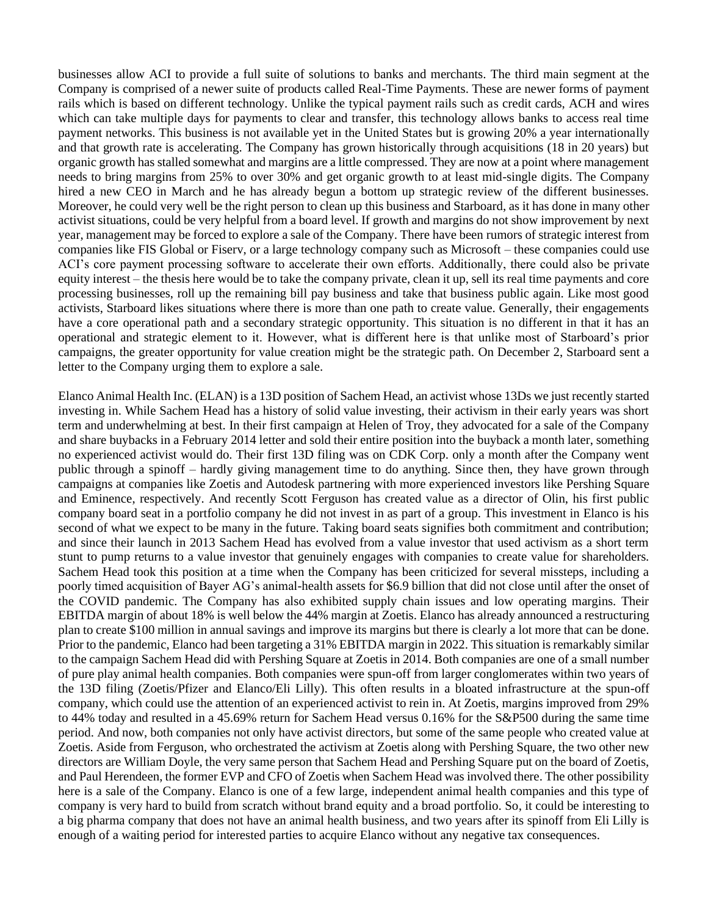businesses allow ACI to provide a full suite of solutions to banks and merchants. The third main segment at the Company is comprised of a newer suite of products called Real-Time Payments. These are newer forms of payment rails which is based on different technology. Unlike the typical payment rails such as credit cards, ACH and wires which can take multiple days for payments to clear and transfer, this technology allows banks to access real time payment networks. This business is not available yet in the United States but is growing 20% a year internationally and that growth rate is accelerating. The Company has grown historically through acquisitions (18 in 20 years) but organic growth has stalled somewhat and margins are a little compressed. They are now at a point where management needs to bring margins from 25% to over 30% and get organic growth to at least mid-single digits. The Company hired a new CEO in March and he has already begun a bottom up strategic review of the different businesses. Moreover, he could very well be the right person to clean up this business and Starboard, as it has done in many other activist situations, could be very helpful from a board level. If growth and margins do not show improvement by next year, management may be forced to explore a sale of the Company. There have been rumors of strategic interest from companies like FIS Global or Fiserv, or a large technology company such as Microsoft – these companies could use ACI's core payment processing software to accelerate their own efforts. Additionally, there could also be private equity interest – the thesis here would be to take the company private, clean it up, sell its real time payments and core processing businesses, roll up the remaining bill pay business and take that business public again. Like most good activists, Starboard likes situations where there is more than one path to create value. Generally, their engagements have a core operational path and a secondary strategic opportunity. This situation is no different in that it has an operational and strategic element to it. However, what is different here is that unlike most of Starboard's prior campaigns, the greater opportunity for value creation might be the strategic path. On December 2, Starboard sent a letter to the Company urging them to explore a sale.

Elanco Animal Health Inc. (ELAN) is a 13D position of Sachem Head, an activist whose 13Ds we just recently started investing in. While Sachem Head has a history of solid value investing, their activism in their early years was short term and underwhelming at best. In their first campaign at Helen of Troy, they advocated for a sale of the Company and share buybacks in a February 2014 letter and sold their entire position into the buyback a month later, something no experienced activist would do. Their first 13D filing was on CDK Corp. only a month after the Company went public through a spinoff – hardly giving management time to do anything. Since then, they have grown through campaigns at companies like Zoetis and Autodesk partnering with more experienced investors like Pershing Square and Eminence, respectively. And recently Scott Ferguson has created value as a director of Olin, his first public company board seat in a portfolio company he did not invest in as part of a group. This investment in Elanco is his second of what we expect to be many in the future. Taking board seats signifies both commitment and contribution; and since their launch in 2013 Sachem Head has evolved from a value investor that used activism as a short term stunt to pump returns to a value investor that genuinely engages with companies to create value for shareholders. Sachem Head took this position at a time when the Company has been criticized for several missteps, including a poorly timed acquisition of Bayer AG's animal-health assets for \$6.9 billion that did not close until after the onset of the COVID pandemic. The Company has also exhibited supply chain issues and low operating margins. Their EBITDA margin of about 18% is well below the 44% margin at Zoetis. Elanco has already announced a restructuring plan to create \$100 million in annual savings and improve its margins but there is clearly a lot more that can be done. Prior to the pandemic, Elanco had been targeting a 31% EBITDA margin in 2022. This situation is remarkably similar to the campaign Sachem Head did with Pershing Square at Zoetis in 2014. Both companies are one of a small number of pure play animal health companies. Both companies were spun-off from larger conglomerates within two years of the 13D filing (Zoetis/Pfizer and Elanco/Eli Lilly). This often results in a bloated infrastructure at the spun-off company, which could use the attention of an experienced activist to rein in. At Zoetis, margins improved from 29% to 44% today and resulted in a 45.69% return for Sachem Head versus 0.16% for the S&P500 during the same time period. And now, both companies not only have activist directors, but some of the same people who created value at Zoetis. Aside from Ferguson, who orchestrated the activism at Zoetis along with Pershing Square, the two other new directors are William Doyle, the very same person that Sachem Head and Pershing Square put on the board of Zoetis, and Paul Herendeen, the former EVP and CFO of Zoetis when Sachem Head was involved there. The other possibility here is a sale of the Company. Elanco is one of a few large, independent animal health companies and this type of company is very hard to build from scratch without brand equity and a broad portfolio. So, it could be interesting to a big pharma company that does not have an animal health business, and two years after its spinoff from Eli Lilly is enough of a waiting period for interested parties to acquire Elanco without any negative tax consequences.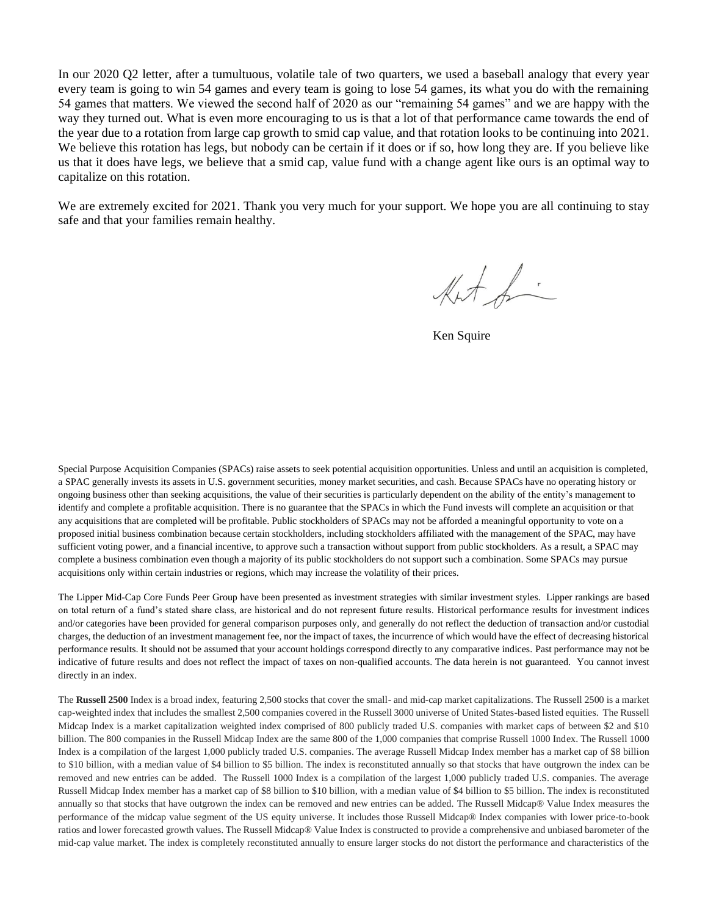In our 2020 Q2 letter, after a tumultuous, volatile tale of two quarters, we used a baseball analogy that every year every team is going to win 54 games and every team is going to lose 54 games, its what you do with the remaining 54 games that matters. We viewed the second half of 2020 as our "remaining 54 games" and we are happy with the way they turned out. What is even more encouraging to us is that a lot of that performance came towards the end of the year due to a rotation from large cap growth to smid cap value, and that rotation looks to be continuing into 2021. We believe this rotation has legs, but nobody can be certain if it does or if so, how long they are. If you believe like us that it does have legs, we believe that a smid cap, value fund with a change agent like ours is an optimal way to capitalize on this rotation.

We are extremely excited for 2021. Thank you very much for your support. We hope you are all continuing to stay safe and that your families remain healthy.

Kut fi

Ken Squire

Special Purpose Acquisition Companies (SPACs) raise assets to seek potential acquisition opportunities. Unless and until an acquisition is completed, a SPAC generally invests its assets in U.S. government securities, money market securities, and cash. Because SPACs have no operating history or ongoing business other than seeking acquisitions, the value of their securities is particularly dependent on the ability of the entity's management to identify and complete a profitable acquisition. There is no guarantee that the SPACs in which the Fund invests will complete an acquisition or that any acquisitions that are completed will be profitable. Public stockholders of SPACs may not be afforded a meaningful opportunity to vote on a proposed initial business combination because certain stockholders, including stockholders affiliated with the management of the SPAC, may have sufficient voting power, and a financial incentive, to approve such a transaction without support from public stockholders. As a result, a SPAC may complete a business combination even though a majority of its public stockholders do not support such a combination. Some SPACs may pursue acquisitions only within certain industries or regions, which may increase the volatility of their prices.

The Lipper Mid-Cap Core Funds Peer Group have been presented as investment strategies with similar investment styles. Lipper rankings are based on total return of a fund's stated share class, are historical and do not represent future results. Historical performance results for investment indices and/or categories have been provided for general comparison purposes only, and generally do not reflect the deduction of transaction and/or custodial charges, the deduction of an investment management fee, nor the impact of taxes, the incurrence of which would have the effect of decreasing historical performance results. It should not be assumed that your account holdings correspond directly to any comparative indices. Past performance may not be indicative of future results and does not reflect the impact of taxes on non-qualified accounts. The data herein is not guaranteed. You cannot invest directly in an index.

The **Russell 2500** Index is a broad index, featuring 2,500 stocks that cover the small- and mid-cap market capitalizations. The Russell 2500 is a market cap-weighted index that includes the smallest 2,500 companies covered in the Russell 3000 universe of United States-based listed equities. The Russell Midcap Index is a market capitalization weighted index comprised of 800 publicly traded U.S. companies with market caps of between \$2 and \$10 billion. The 800 companies in the Russell Midcap Index are the same 800 of the 1,000 companies that comprise Russell 1000 Index. The Russell 1000 Index is a compilation of the largest 1,000 publicly traded U.S. companies. The average Russell Midcap Index member has a market cap of \$8 billion to \$10 billion, with a median value of \$4 billion to \$5 billion. The index is reconstituted annually so that stocks that have outgrown the index can be removed and new entries can be added. The Russell 1000 Index is a compilation of the largest 1,000 publicly traded U.S. companies. The average Russell Midcap Index member has a market cap of \$8 billion to \$10 billion, with a median value of \$4 billion to \$5 billion. The index is reconstituted annually so that stocks that have outgrown the index can be removed and new entries can be added. The Russell Midcap® Value Index measures the performance of the midcap value segment of the US equity universe. It includes those Russell Midcap® Index companies with lower price-to-book ratios and lower forecasted growth values. The Russell Midcap® Value Index is constructed to provide a comprehensive and unbiased barometer of the mid-cap value market. The index is completely reconstituted annually to ensure larger stocks do not distort the performance and characteristics of the